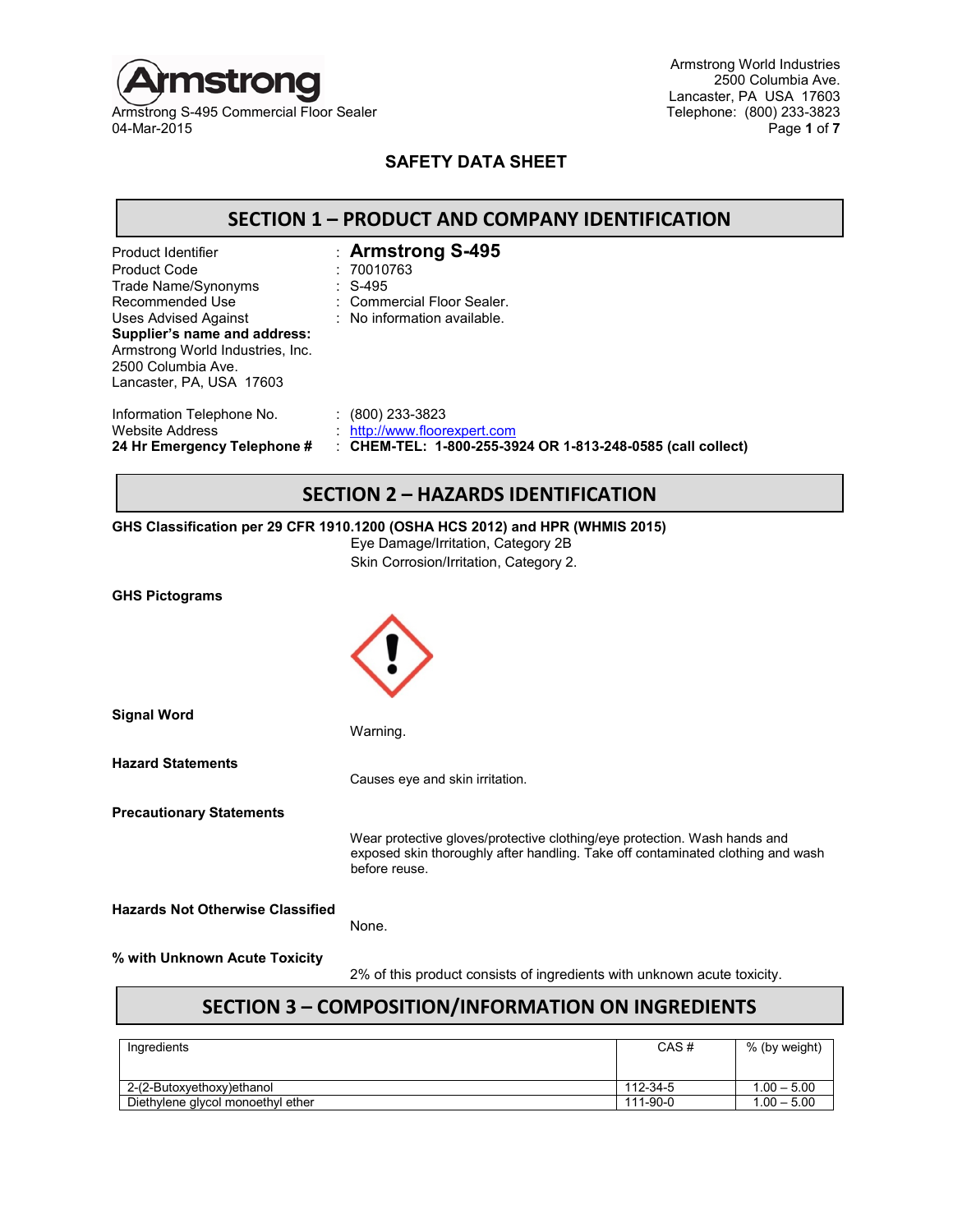

Armstrong S-495 Commercial Floor Sealer<br>04-Mar-2015

Armstrong World Industries 2500 Columbia Ave. Lancaster, PA USA 17603<br>Telephone: (800) 233-3823 04-Mar-2015 Page **1** of **7**

### **SAFETY DATA SHEET**

### **SECTION 1 – PRODUCT AND COMPANY IDENTIFICATION**

| Product Identifier<br><b>Product Code</b><br>Trade Name/Synonyms<br>Recommended Use<br>Uses Advised Against<br>Supplier's name and address:<br>Armstrong World Industries, Inc.<br>2500 Columbia Ave.<br>Lancaster, PA, USA 17603 | : Armstrong $S-495$<br>: 70010763<br>$\therefore$ S-495<br>: Commercial Floor Sealer.<br>$\therefore$ No information available. |
|-----------------------------------------------------------------------------------------------------------------------------------------------------------------------------------------------------------------------------------|---------------------------------------------------------------------------------------------------------------------------------|
| Information Telephone No.                                                                                                                                                                                                         | $(800)$ 233-3823                                                                                                                |
| <b>Website Address</b>                                                                                                                                                                                                            | http://www.floorexpert.com                                                                                                      |
| 24 Hr Emergency Telephone #                                                                                                                                                                                                       | : CHEM-TEL: 1-800-255-3924 OR 1-813-248-0585 (call collect)                                                                     |

### **SECTION 2 – HAZARDS IDENTIFICATION**

#### **GHS Classification per 29 CFR 1910.1200 (OSHA HCS 2012) and HPR (WHMIS 2015)**

|                                         | <b>SECTION 3 - COMPOSITION/INFORMATION ON INGREDIENTS</b>                                                                                                                     |  |
|-----------------------------------------|-------------------------------------------------------------------------------------------------------------------------------------------------------------------------------|--|
|                                         |                                                                                                                                                                               |  |
| % with Unknown Acute Toxicity           | 2% of this product consists of ingredients with unknown acute toxicity.                                                                                                       |  |
| <b>Hazards Not Otherwise Classified</b> | None.                                                                                                                                                                         |  |
|                                         | Wear protective gloves/protective clothing/eye protection. Wash hands and<br>exposed skin thoroughly after handling. Take off contaminated clothing and wash<br>before reuse. |  |
| <b>Precautionary Statements</b>         |                                                                                                                                                                               |  |
| <b>Hazard Statements</b>                | Causes eye and skin irritation.                                                                                                                                               |  |
| <b>Signal Word</b>                      | Warning.                                                                                                                                                                      |  |
| <b>GHS Pictograms</b>                   |                                                                                                                                                                               |  |
|                                         | Skin Corrosion/Irritation, Category 2.                                                                                                                                        |  |
|                                         | Eye Damage/Irritation, Category 2B                                                                                                                                            |  |

2-(2-Butoxyethoxy)ethanol 112-34-5 1.00 – 5.00<br>Diethylene glycol monoethyl ether 111-90-0 1.00 – 5.00 Diethylene glycol monoethyl ether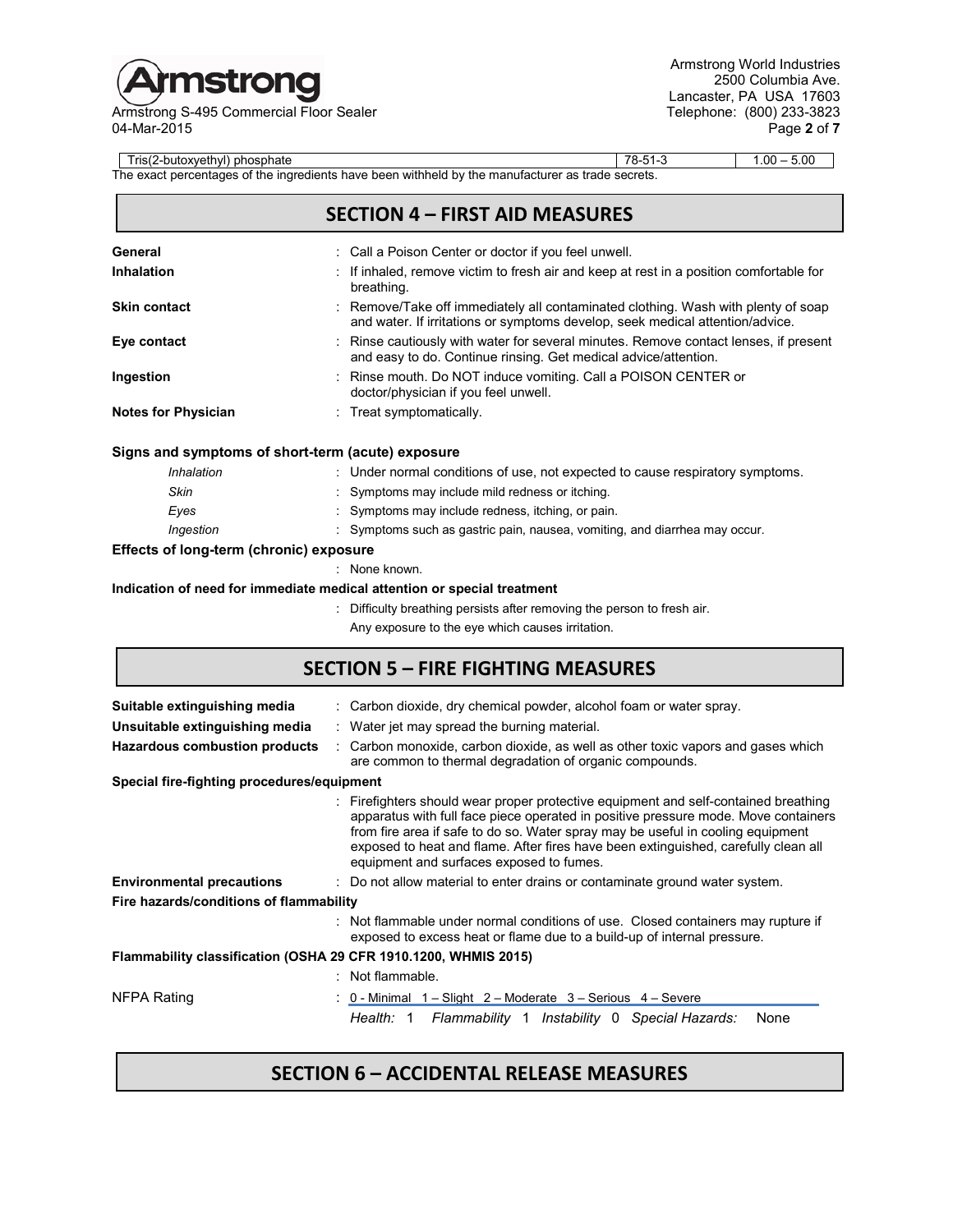

Armstrong S-495 Commercial Floor Sealer Telephone: (800) 233-3823 04-Mar-2015 Page **2** of **7**

Armstrong World Industries 2500 Columbia Ave. Lancaster, PA USA 17603<br>Telephone: (800) 233-3823

| Tris(2-butoxyethyl) phosphate                                   |                                                                                                                                                                                                                                                                                                                                                                                              | 78-51-3 | $1.00 - 5.00$ |  |  |  |  |
|-----------------------------------------------------------------|----------------------------------------------------------------------------------------------------------------------------------------------------------------------------------------------------------------------------------------------------------------------------------------------------------------------------------------------------------------------------------------------|---------|---------------|--|--|--|--|
|                                                                 | The exact percentages of the ingredients have been withheld by the manufacturer as trade secrets.                                                                                                                                                                                                                                                                                            |         |               |  |  |  |  |
| <b>SECTION 4 - FIRST AID MEASURES</b>                           |                                                                                                                                                                                                                                                                                                                                                                                              |         |               |  |  |  |  |
| General                                                         | Call a Poison Center or doctor if you feel unwell.                                                                                                                                                                                                                                                                                                                                           |         |               |  |  |  |  |
| <b>Inhalation</b>                                               | If inhaled, remove victim to fresh air and keep at rest in a position comfortable for<br>breathing.                                                                                                                                                                                                                                                                                          |         |               |  |  |  |  |
| <b>Skin contact</b>                                             | Remove/Take off immediately all contaminated clothing. Wash with plenty of soap<br>and water. If irritations or symptoms develop, seek medical attention/advice.                                                                                                                                                                                                                             |         |               |  |  |  |  |
| Eye contact                                                     | Rinse cautiously with water for several minutes. Remove contact lenses, if present<br>and easy to do. Continue rinsing. Get medical advice/attention.                                                                                                                                                                                                                                        |         |               |  |  |  |  |
| Ingestion                                                       | Rinse mouth. Do NOT induce vomiting. Call a POISON CENTER or<br>doctor/physician if you feel unwell.                                                                                                                                                                                                                                                                                         |         |               |  |  |  |  |
| <b>Notes for Physician</b>                                      | Treat symptomatically.                                                                                                                                                                                                                                                                                                                                                                       |         |               |  |  |  |  |
| Signs and symptoms of short-term (acute) exposure               |                                                                                                                                                                                                                                                                                                                                                                                              |         |               |  |  |  |  |
| Inhalation                                                      | : Under normal conditions of use, not expected to cause respiratory symptoms.                                                                                                                                                                                                                                                                                                                |         |               |  |  |  |  |
| Skin                                                            | Symptoms may include mild redness or itching.                                                                                                                                                                                                                                                                                                                                                |         |               |  |  |  |  |
| Eyes                                                            | Symptoms may include redness, itching, or pain.                                                                                                                                                                                                                                                                                                                                              |         |               |  |  |  |  |
| Ingestion                                                       | Symptoms such as gastric pain, nausea, vomiting, and diarrhea may occur.                                                                                                                                                                                                                                                                                                                     |         |               |  |  |  |  |
| Effects of long-term (chronic) exposure                         |                                                                                                                                                                                                                                                                                                                                                                                              |         |               |  |  |  |  |
|                                                                 | None known.                                                                                                                                                                                                                                                                                                                                                                                  |         |               |  |  |  |  |
|                                                                 | Indication of need for immediate medical attention or special treatment                                                                                                                                                                                                                                                                                                                      |         |               |  |  |  |  |
|                                                                 | Difficulty breathing persists after removing the person to fresh air.                                                                                                                                                                                                                                                                                                                        |         |               |  |  |  |  |
|                                                                 | Any exposure to the eye which causes irritation.                                                                                                                                                                                                                                                                                                                                             |         |               |  |  |  |  |
|                                                                 | <b>SECTION 5 - FIRE FIGHTING MEASURES</b>                                                                                                                                                                                                                                                                                                                                                    |         |               |  |  |  |  |
| Suitable extinguishing media                                    | Carbon dioxide, dry chemical powder, alcohol foam or water spray.                                                                                                                                                                                                                                                                                                                            |         |               |  |  |  |  |
| Unsuitable extinguishing media                                  | Water jet may spread the burning material.                                                                                                                                                                                                                                                                                                                                                   |         |               |  |  |  |  |
| <b>Hazardous combustion products</b>                            | Carbon monoxide, carbon dioxide, as well as other toxic vapors and gases which<br>are common to thermal degradation of organic compounds.                                                                                                                                                                                                                                                    |         |               |  |  |  |  |
| Special fire-fighting procedures/equipment                      |                                                                                                                                                                                                                                                                                                                                                                                              |         |               |  |  |  |  |
|                                                                 | Firefighters should wear proper protective equipment and self-contained breathing<br>apparatus with full face piece operated in positive pressure mode. Move containers<br>from fire area if safe to do so. Water spray may be useful in cooling equipment<br>exposed to heat and flame. After fires have been extinguished, carefully clean all<br>equipment and surfaces exposed to fumes. |         |               |  |  |  |  |
| <b>Environmental precautions</b>                                | Do not allow material to enter drains or contaminate ground water system.                                                                                                                                                                                                                                                                                                                    |         |               |  |  |  |  |
| Fire hazards/conditions of flammability                         |                                                                                                                                                                                                                                                                                                                                                                                              |         |               |  |  |  |  |
|                                                                 | : Not flammable under normal conditions of use. Closed containers may rupture if<br>exposed to excess heat or flame due to a build-up of internal pressure.                                                                                                                                                                                                                                  |         |               |  |  |  |  |
| Flammability classification (OSHA 29 CFR 1910.1200, WHMIS 2015) |                                                                                                                                                                                                                                                                                                                                                                                              |         |               |  |  |  |  |
|                                                                 | Not flammable.                                                                                                                                                                                                                                                                                                                                                                               |         |               |  |  |  |  |
| <b>NFPA Rating</b>                                              | 0 - Minimal 1 - Slight 2 - Moderate 3 - Serious 4 - Severe                                                                                                                                                                                                                                                                                                                                   |         |               |  |  |  |  |
|                                                                 | Health: $1$<br>Flammability 1 Instability 0 Special Hazards:                                                                                                                                                                                                                                                                                                                                 |         | None          |  |  |  |  |

# **SECTION 6 – ACCIDENTAL RELEASE MEASURES**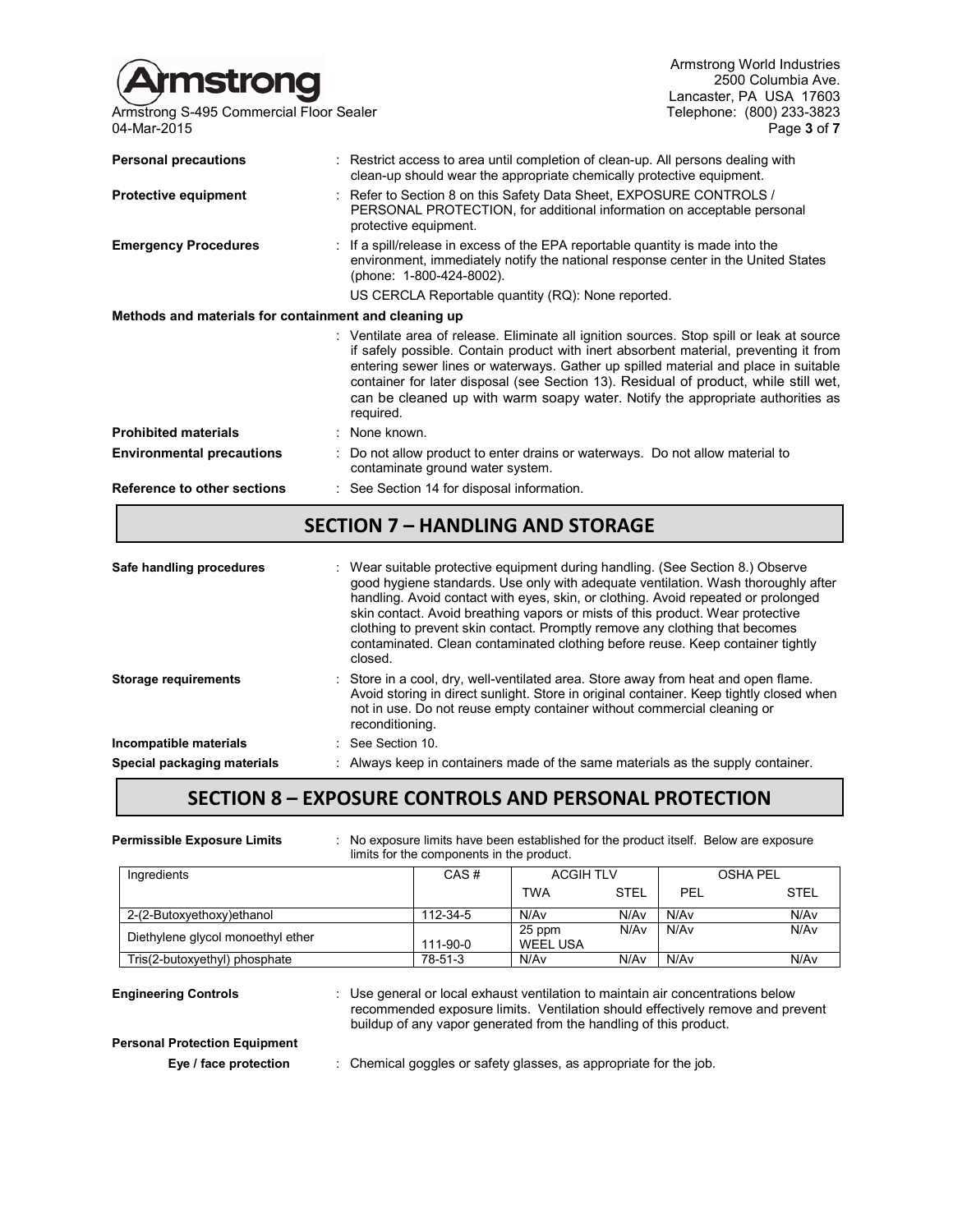| <b>Armstrong</b>                                       |                                                                                                                                                                                                                                                                                                                                                                                                                                                                  | Armstrong World Industries<br>2500 Columbia Ave.<br>Lancaster, PA USA 17603 |
|--------------------------------------------------------|------------------------------------------------------------------------------------------------------------------------------------------------------------------------------------------------------------------------------------------------------------------------------------------------------------------------------------------------------------------------------------------------------------------------------------------------------------------|-----------------------------------------------------------------------------|
| Armstrong S-495 Commercial Floor Sealer<br>04-Mar-2015 |                                                                                                                                                                                                                                                                                                                                                                                                                                                                  | Telephone: (800) 233-3823<br>Page 3 of 7                                    |
| <b>Personal precautions</b>                            | : Restrict access to area until completion of clean-up. All persons dealing with<br>clean-up should wear the appropriate chemically protective equipment.                                                                                                                                                                                                                                                                                                        |                                                                             |
| <b>Protective equipment</b>                            | : Refer to Section 8 on this Safety Data Sheet, EXPOSURE CONTROLS /<br>PERSONAL PROTECTION, for additional information on acceptable personal<br>protective equipment.                                                                                                                                                                                                                                                                                           |                                                                             |
| <b>Emergency Procedures</b>                            | : If a spill/release in excess of the EPA reportable quantity is made into the<br>environment, immediately notify the national response center in the United States<br>(phone: 1-800-424-8002).                                                                                                                                                                                                                                                                  |                                                                             |
|                                                        | US CERCLA Reportable quantity (RQ): None reported.                                                                                                                                                                                                                                                                                                                                                                                                               |                                                                             |
| Methods and materials for containment and cleaning up  |                                                                                                                                                                                                                                                                                                                                                                                                                                                                  |                                                                             |
|                                                        | : Ventilate area of release. Eliminate all ignition sources. Stop spill or leak at source<br>if safely possible. Contain product with inert absorbent material, preventing it from<br>entering sewer lines or waterways. Gather up spilled material and place in suitable<br>container for later disposal (see Section 13). Residual of product, while still wet,<br>can be cleaned up with warm soapy water. Notify the appropriate authorities as<br>required. |                                                                             |
| <b>Prohibited materials</b>                            | : None known.                                                                                                                                                                                                                                                                                                                                                                                                                                                    |                                                                             |
| <b>Environmental precautions</b>                       | : Do not allow product to enter drains or waterways. Do not allow material to<br>contaminate ground water system.                                                                                                                                                                                                                                                                                                                                                |                                                                             |
| <b>Reference to other sections</b>                     | : See Section 14 for disposal information.                                                                                                                                                                                                                                                                                                                                                                                                                       |                                                                             |
|                                                        | <b>SECTION 7 - HANDLING AND STORAGE</b>                                                                                                                                                                                                                                                                                                                                                                                                                          |                                                                             |

| Safe handling procedures    | : Wear suitable protective equipment during handling. (See Section 8.) Observe<br>good hygiene standards. Use only with adequate ventilation. Wash thoroughly after<br>handling. Avoid contact with eyes, skin, or clothing. Avoid repeated or prolonged<br>skin contact. Avoid breathing vapors or mists of this product. Wear protective<br>clothing to prevent skin contact. Promptly remove any clothing that becomes<br>contaminated. Clean contaminated clothing before reuse. Keep container tightly<br>closed. |
|-----------------------------|------------------------------------------------------------------------------------------------------------------------------------------------------------------------------------------------------------------------------------------------------------------------------------------------------------------------------------------------------------------------------------------------------------------------------------------------------------------------------------------------------------------------|
| <b>Storage requirements</b> | : Store in a cool, dry, well-ventilated area. Store away from heat and open flame.<br>Avoid storing in direct sunlight. Store in original container. Keep tightly closed when<br>not in use. Do not reuse empty container without commercial cleaning or<br>reconditioning.                                                                                                                                                                                                                                            |
| Incompatible materials      | $\therefore$ See Section 10.                                                                                                                                                                                                                                                                                                                                                                                                                                                                                           |
| Special packaging materials | Always keep in containers made of the same materials as the supply container.                                                                                                                                                                                                                                                                                                                                                                                                                                          |

# **SECTION 8 – EXPOSURE CONTROLS AND PERSONAL PROTECTION**

| <b>Permissible Exposure Limits</b> |  | No exposure limits have been established for the product itself. Below are exposure<br>limits for the components in the product.                                                                                                     |                           |             |      |                  |  |
|------------------------------------|--|--------------------------------------------------------------------------------------------------------------------------------------------------------------------------------------------------------------------------------------|---------------------------|-------------|------|------------------|--|
| Ingredients                        |  | CAS#                                                                                                                                                                                                                                 | <b>ACGIH TLV</b>          |             |      | <b>OSHA PEL</b>  |  |
|                                    |  |                                                                                                                                                                                                                                      | <b>TWA</b>                | <b>STEL</b> | PFI  | <b>STEL</b>      |  |
| 2-(2-Butoxyethoxy)ethanol          |  | 112-34-5                                                                                                                                                                                                                             | N/A <sub>v</sub>          | N/Av        | N/Av | N/A <sub>v</sub> |  |
| Diethylene glycol monoethyl ether  |  | 111-90-0                                                                                                                                                                                                                             | 25 ppm<br><b>WEEL USA</b> | N/Av        | N/Av | N/A <sub>v</sub> |  |
| Tris(2-butoxyethyl) phosphate      |  | 78-51-3                                                                                                                                                                                                                              | N/A <sub>v</sub>          | N/Av        | N/Av | N/A <sub>v</sub> |  |
| <b>Engineering Controls</b>        |  | Use general or local exhaust ventilation to maintain air concentrations below<br>recommended exposure limits. Ventilation should effectively remove and prevent<br>buildup of any vapor generated from the handling of this product. |                           |             |      |                  |  |

**Personal Protection Equipment**

**Eye / face protection** : Chemical goggles or safety glasses, as appropriate for the job.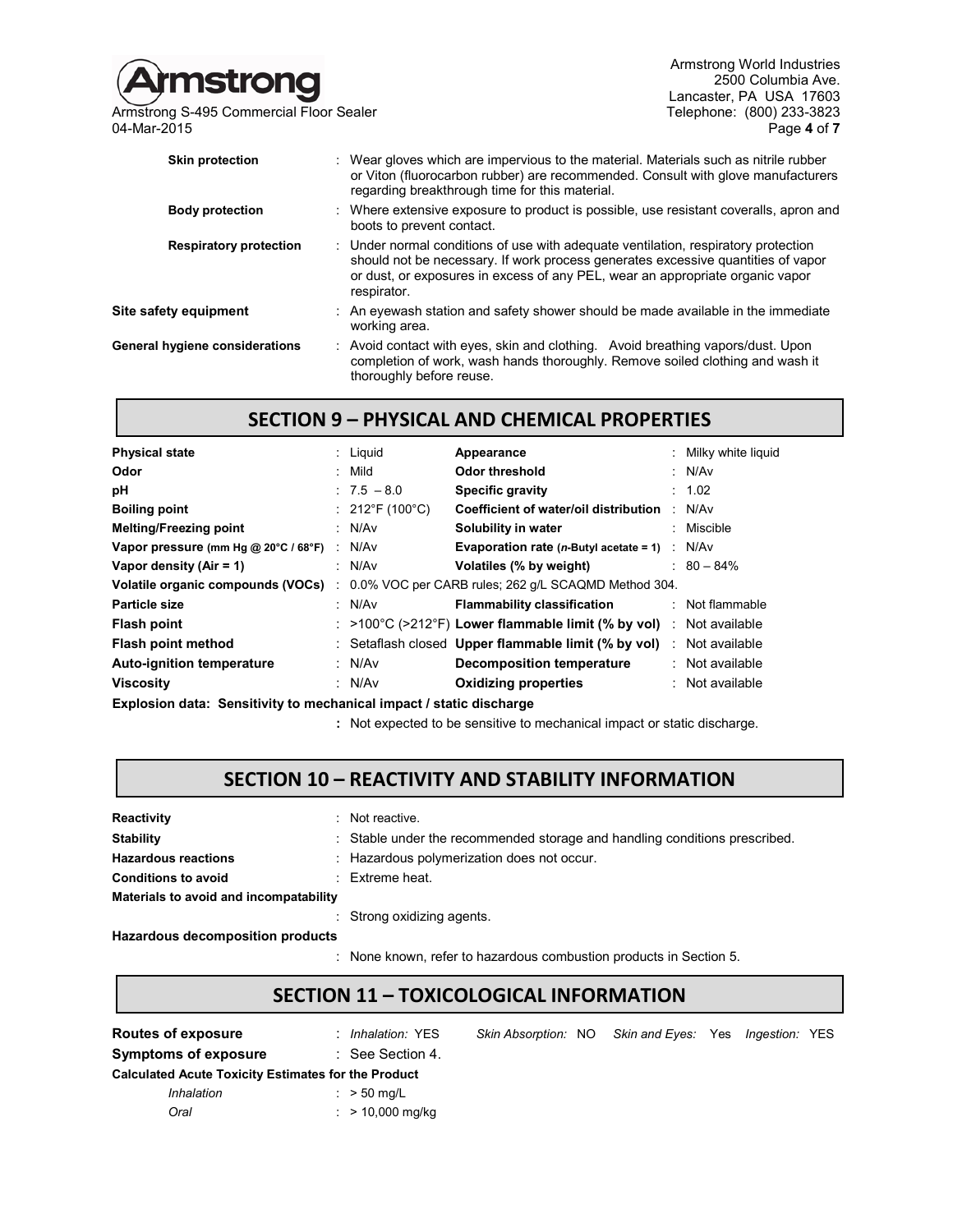

Armstrong S-495 Commercial Floor Sealer<br>04-Mar-2015

Armstrong World Industries 2500 Columbia Ave. Lancaster, PA USA 17603<br>Telephone: (800) 233-3823 04-Mar-2015 Page **4** of **7**

| <b>Skin protection</b>         | Wear gloves which are impervious to the material. Materials such as nitrile rubber<br>or Viton (fluorocarbon rubber) are recommended. Consult with glove manufacturers<br>regarding breakthrough time for this material.                                               |  |
|--------------------------------|------------------------------------------------------------------------------------------------------------------------------------------------------------------------------------------------------------------------------------------------------------------------|--|
| <b>Body protection</b>         | : Where extensive exposure to product is possible, use resistant coveralls, apron and<br>boots to prevent contact.                                                                                                                                                     |  |
| <b>Respiratory protection</b>  | : Under normal conditions of use with adequate ventilation, respiratory protection<br>should not be necessary. If work process generates excessive quantities of vapor<br>or dust, or exposures in excess of any PEL, wear an appropriate organic vapor<br>respirator. |  |
| Site safety equipment          | : An eyewash station and safety shower should be made available in the immediate<br>working area.                                                                                                                                                                      |  |
| General hygiene considerations | : Avoid contact with eyes, skin and clothing. Avoid breathing vapors/dust. Upon<br>completion of work, wash hands thoroughly. Remove soiled clothing and wash it<br>thoroughly before reuse.                                                                           |  |

#### **SECTION 9 – PHYSICAL AND CHEMICAL PROPERTIES**

| <b>Physical state</b>                                                                   | : Liquid                       | Appearance                                                      | : Milky white liquid |
|-----------------------------------------------------------------------------------------|--------------------------------|-----------------------------------------------------------------|----------------------|
| Odor                                                                                    | : Mild                         | Odor threshold                                                  | : $N/Av$             |
| рH                                                                                      | $: 7.5 - 8.0$                  | Specific gravity                                                | : 1.02               |
| <b>Boiling point</b>                                                                    | : $212^{\circ}F(100^{\circ}C)$ | <b>Coefficient of water/oil distribution : N/Av</b>             |                      |
| <b>Melting/Freezing point</b>                                                           | : N/Av                         | Solubility in water                                             | : Miscible           |
| Vapor pressure (mm Hg @ 20 $^{\circ}$ C / 68 $^{\circ}$ F) : N/Av                       |                                | <b>Evaporation rate (n-Butyl acetate = 1)</b> $\therefore$ N/Av |                      |
| Vapor density $(Air = 1)$                                                               | : $N/Av$                       | Volatiles (% by weight)                                         | $: 80 - 84\%$        |
| Volatile organic compounds (VOCs) : 0.0% VOC per CARB rules; 262 q/L SCAQMD Method 304. |                                |                                                                 |                      |
| Particle size                                                                           | : N/Av                         | <b>Flammability classification</b>                              | : Not flammable      |
| Flash point                                                                             |                                | $\approx$ >100°C (>212°F) Lower flammable limit (% by vol)      | Not available :      |
| <b>Flash point method</b>                                                               |                                | : Setaflash closed Upper flammable limit (% by vol)             | : Not available      |
| <b>Auto-ignition temperature</b>                                                        | : N/Av                         | Decomposition temperature                                       | : Not available      |
| <b>Viscosity</b>                                                                        | : N/Av                         | <b>Oxidizing properties</b>                                     | : Not available      |
| Explosion data: Sensitivity to mechanical impact / static discharge                     |                                |                                                                 |                      |

**:** Not expected to be sensitive to mechanical impact or static discharge.

### **SECTION 10 – REACTIVITY AND STABILITY INFORMATION**

| Reactivity                             | : Not reactive.                                                            |
|----------------------------------------|----------------------------------------------------------------------------|
| Stability                              | : Stable under the recommended storage and handling conditions prescribed. |
| <b>Hazardous reactions</b>             | : Hazardous polymerization does not occur.                                 |
| <b>Conditions to avoid</b>             | $\therefore$ Extreme heat.                                                 |
| Materials to avoid and incompatability |                                                                            |
|                                        | : Strong oxidizing agents.                                                 |

**Hazardous decomposition products**

: None known, refer to hazardous combustion products in Section 5.

## **SECTION 11 – TOXICOLOGICAL INFORMATION**

| Routes of exposure                                         | <i>Inhalation:</i> YES | Skin Absorption: NO Skin and Eyes: Yes Ingestion: YES |  |  |  |
|------------------------------------------------------------|------------------------|-------------------------------------------------------|--|--|--|
| <b>Symptoms of exposure</b>                                | : See Section 4.       |                                                       |  |  |  |
| <b>Calculated Acute Toxicity Estimates for the Product</b> |                        |                                                       |  |  |  |
| Inhalation                                                 | $\therefore$ > 50 mg/L |                                                       |  |  |  |
| Oral                                                       | $:$ > 10,000 mg/kg     |                                                       |  |  |  |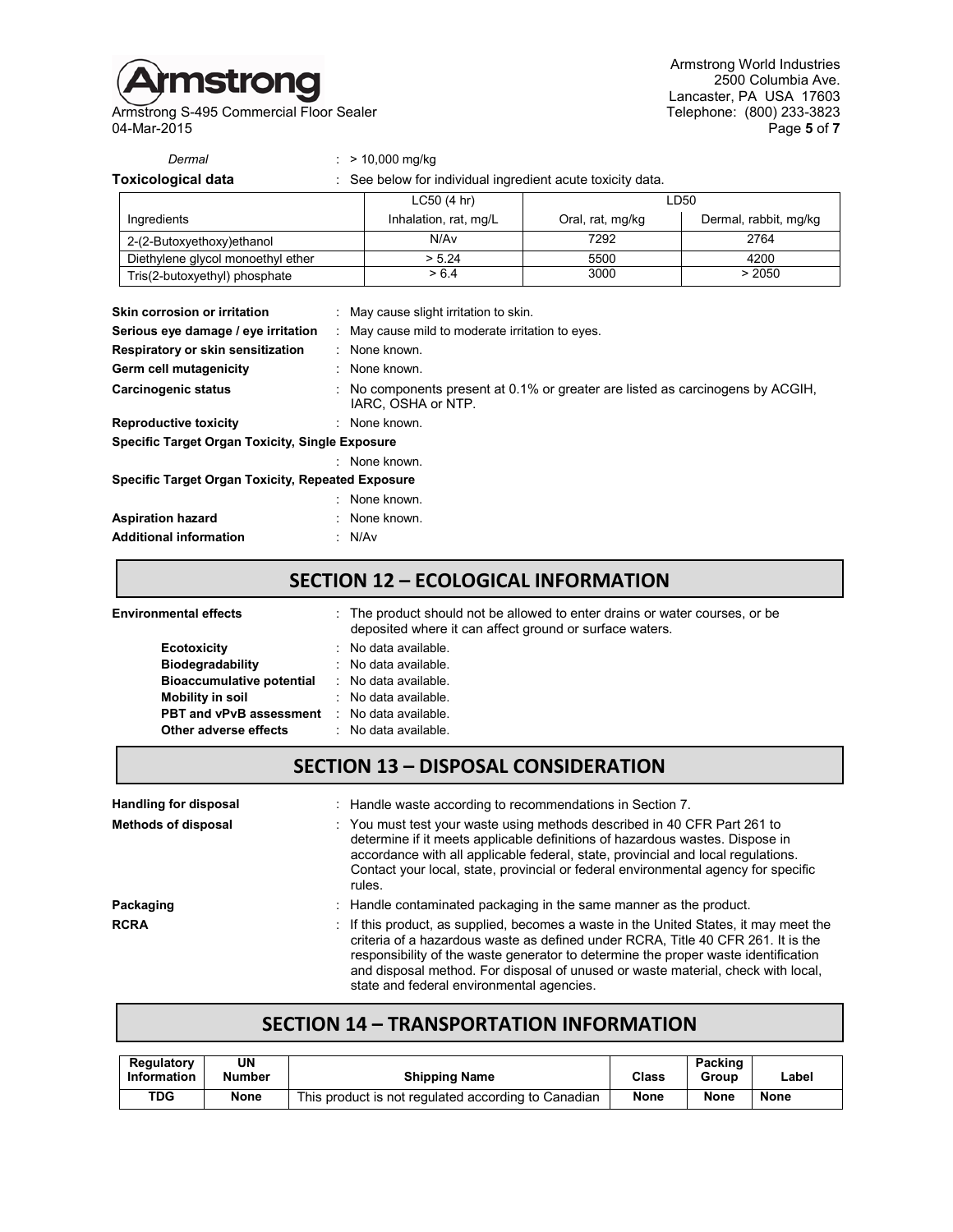

Armstrong S-495 Commercial Floor Sealer Telephone: (800) 233-3823 04-Mar-2015 Page **5** of **7**

Armstrong World Industries 2500 Columbia Ave. Lancaster, PA USA 17603<br>Telephone: (800) 233-3823

| Dermal               | $: > 10,000$ mg/kg    |
|----------------------|-----------------------|
| مغمام امماسماممابرما | Caa halau farindiridu |

**Toxicological data** : See below for individual ingredient acute toxicity data.

|                                   | LC50(4 hr)            | LD50             |                       |  |  |
|-----------------------------------|-----------------------|------------------|-----------------------|--|--|
| Ingredients                       | Inhalation, rat, mg/L | Oral, rat, mg/kg | Dermal, rabbit, mg/kg |  |  |
| 2-(2-Butoxyethoxy)ethanol         | N/Av                  | 7292             | 2764                  |  |  |
| Diethylene glycol monoethyl ether | > 5.24                | 5500             | 4200                  |  |  |
| Tris(2-butoxyethyl) phosphate     | > 6.4                 | 3000             | > 2050                |  |  |

| Skin corrosion or irritation                      | : May cause slight irritation to skin.                                                             |
|---------------------------------------------------|----------------------------------------------------------------------------------------------------|
| Serious eye damage / eye irritation               | : May cause mild to moderate irritation to eyes.                                                   |
| Respiratory or skin sensitization                 | : None known.                                                                                      |
| Germ cell mutagenicity                            | : None known.                                                                                      |
| Carcinogenic status                               | No components present at 0.1% or greater are listed as carcinogens by ACGIH,<br>IARC. OSHA or NTP. |
| <b>Reproductive toxicity</b>                      | : None known.                                                                                      |
| Specific Target Organ Toxicity, Single Exposure   |                                                                                                    |
|                                                   | : None known.                                                                                      |
| Specific Target Organ Toxicity, Repeated Exposure |                                                                                                    |
|                                                   | : None known.                                                                                      |
| <b>Aspiration hazard</b>                          | : None known.                                                                                      |
| <b>Additional information</b>                     | : N/Av                                                                                             |

### **SECTION 12 – ECOLOGICAL INFORMATION**

| <b>Environmental effects</b>     | : The product should not be allowed to enter drains or water courses, or be<br>deposited where it can affect ground or surface waters. |
|----------------------------------|----------------------------------------------------------------------------------------------------------------------------------------|
| <b>Ecotoxicity</b>               | $\therefore$ No data available.                                                                                                        |
| Biodegradability                 | $\therefore$ No data available.                                                                                                        |
| <b>Bioaccumulative potential</b> | : No data available.                                                                                                                   |
| Mobility in soil                 | $\therefore$ No data available.                                                                                                        |
| <b>PBT and vPvB assessment</b>   | $\therefore$ No data available.                                                                                                        |
| Other adverse effects            | $\therefore$ No data available.                                                                                                        |

## **SECTION 13 – DISPOSAL CONSIDERATION**

| <b>Handling for disposal</b> | : Handle waste according to recommendations in Section 7.                                                                                                                                                                                                                                                                                                                                            |
|------------------------------|------------------------------------------------------------------------------------------------------------------------------------------------------------------------------------------------------------------------------------------------------------------------------------------------------------------------------------------------------------------------------------------------------|
| <b>Methods of disposal</b>   | : You must test your waste using methods described in 40 CFR Part 261 to<br>determine if it meets applicable definitions of hazardous wastes. Dispose in<br>accordance with all applicable federal, state, provincial and local regulations.<br>Contact your local, state, provincial or federal environmental agency for specific<br>rules.                                                         |
| Packaging                    | : Handle contaminated packaging in the same manner as the product.                                                                                                                                                                                                                                                                                                                                   |
| <b>RCRA</b>                  | $\pm$ If this product, as supplied, becomes a waste in the United States, it may meet the<br>criteria of a hazardous waste as defined under RCRA, Title 40 CFR 261. It is the<br>responsibility of the waste generator to determine the proper waste identification<br>and disposal method. For disposal of unused or waste material, check with local,<br>state and federal environmental agencies. |

### **SECTION 14 – TRANSPORTATION INFORMATION**

| Regulatory<br>Information | UN<br><b>Number</b> | <b>Shipping Name</b>                                | Class       | Packing<br>Group | Label       |
|---------------------------|---------------------|-----------------------------------------------------|-------------|------------------|-------------|
| TDG                       | <b>None</b>         | This product is not regulated according to Canadian | <b>None</b> | <b>None</b>      | <b>None</b> |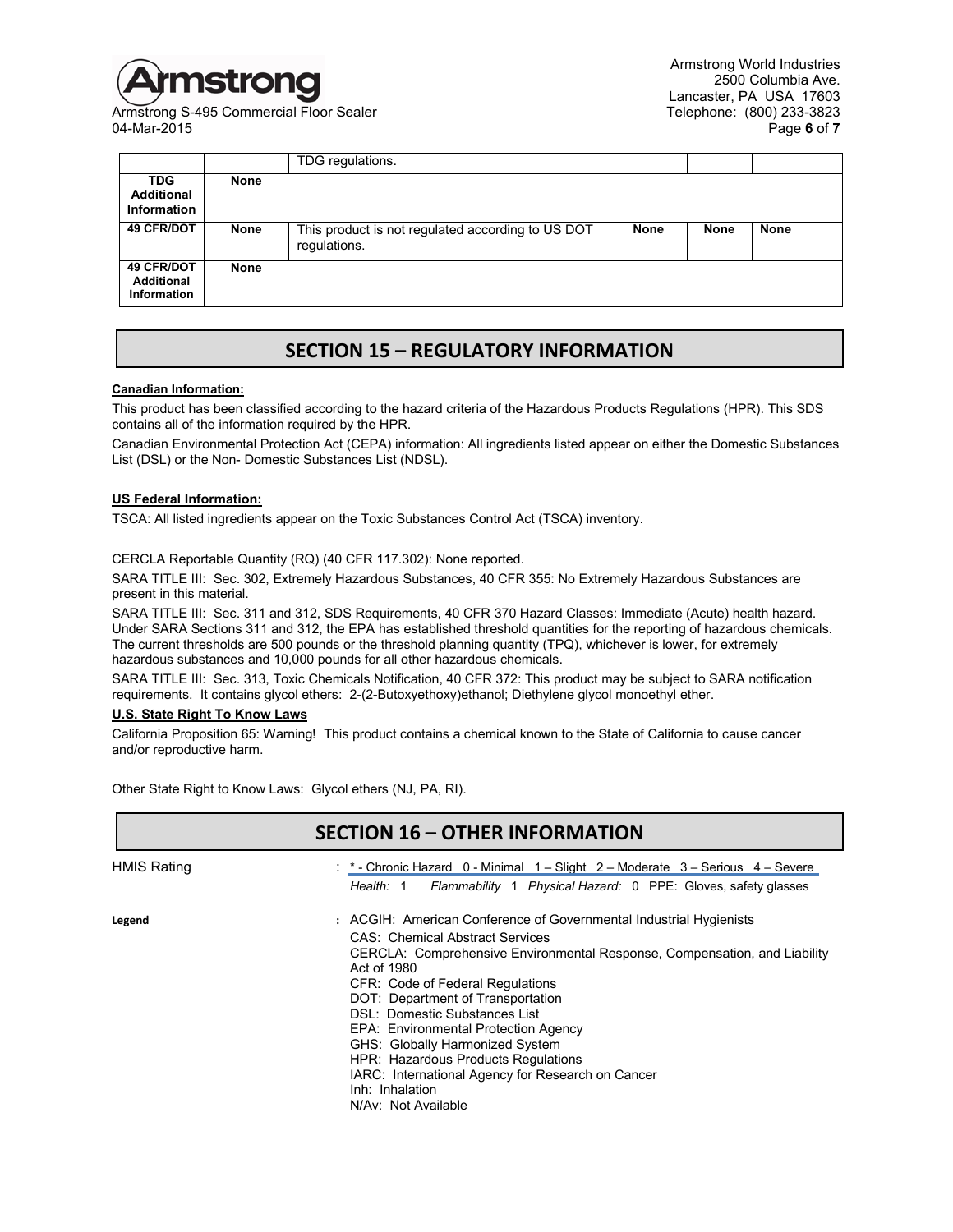

Armstrong S-495 Commercial Floor Sealer 04-Mar-2015 Page **6** of **7**

|                                                       |      | TDG regulations.                                                  |      |             |             |
|-------------------------------------------------------|------|-------------------------------------------------------------------|------|-------------|-------------|
| <b>TDG</b><br><b>Additional</b><br>Information        | None |                                                                   |      |             |             |
| <b>49 CFR/DOT</b>                                     | None | This product is not regulated according to US DOT<br>regulations. | None | <b>None</b> | <b>None</b> |
| <b>49 CFR/DOT</b><br><b>Additional</b><br>Information | None |                                                                   |      |             |             |

## **SECTION 15 – REGULATORY INFORMATION**

#### **Canadian Information:**

This product has been classified according to the hazard criteria of the Hazardous Products Regulations (HPR). This SDS contains all of the information required by the HPR.

Canadian Environmental Protection Act (CEPA) information: All ingredients listed appear on either the Domestic Substances List (DSL) or the Non- Domestic Substances List (NDSL).

#### **US Federal Information:**

TSCA: All listed ingredients appear on the Toxic Substances Control Act (TSCA) inventory.

CERCLA Reportable Quantity (RQ) (40 CFR 117.302): None reported.

SARA TITLE III: Sec. 302, Extremely Hazardous Substances, 40 CFR 355: No Extremely Hazardous Substances are present in this material.

SARA TITLE III: Sec. 311 and 312, SDS Requirements, 40 CFR 370 Hazard Classes: Immediate (Acute) health hazard. Under SARA Sections 311 and 312, the EPA has established threshold quantities for the reporting of hazardous chemicals. The current thresholds are 500 pounds or the threshold planning quantity (TPQ), whichever is lower, for extremely hazardous substances and 10,000 pounds for all other hazardous chemicals.

SARA TITLE III: Sec. 313, Toxic Chemicals Notification, 40 CFR 372: This product may be subject to SARA notification requirements. It contains glycol ethers: 2-(2-Butoxyethoxy)ethanol; Diethylene glycol monoethyl ether.

#### **U.S. State Right To Know Laws**

California Proposition 65: Warning! This product contains a chemical known to the State of California to cause cancer and/or reproductive harm.

Other State Right to Know Laws: Glycol ethers (NJ, PA, RI).

|             | <b>SECTION 16 - OTHER INFORMATION</b>                                                                                                                                                                                                                                                                                                                                                                                                                                                                                               |
|-------------|-------------------------------------------------------------------------------------------------------------------------------------------------------------------------------------------------------------------------------------------------------------------------------------------------------------------------------------------------------------------------------------------------------------------------------------------------------------------------------------------------------------------------------------|
| HMIS Rating | : * - Chronic Hazard 0 - Minimal 1 – Slight 2 – Moderate 3 – Serious 4 – Severe<br>Flammability 1 Physical Hazard: 0 PPE: Gloves, safety glasses<br>Health: 1                                                                                                                                                                                                                                                                                                                                                                       |
| Legend      | : ACGIH: American Conference of Governmental Industrial Hygienists<br><b>CAS: Chemical Abstract Services</b><br>CERCLA: Comprehensive Environmental Response, Compensation, and Liability<br>Act of 1980<br>CFR: Code of Federal Regulations<br>DOT: Department of Transportation<br>DSL: Domestic Substances List<br>EPA: Environmental Protection Agency<br>GHS: Globally Harmonized System<br>HPR: Hazardous Products Regulations<br>IARC: International Agency for Research on Cancer<br>Inh: Inhalation<br>N/Av: Not Available |